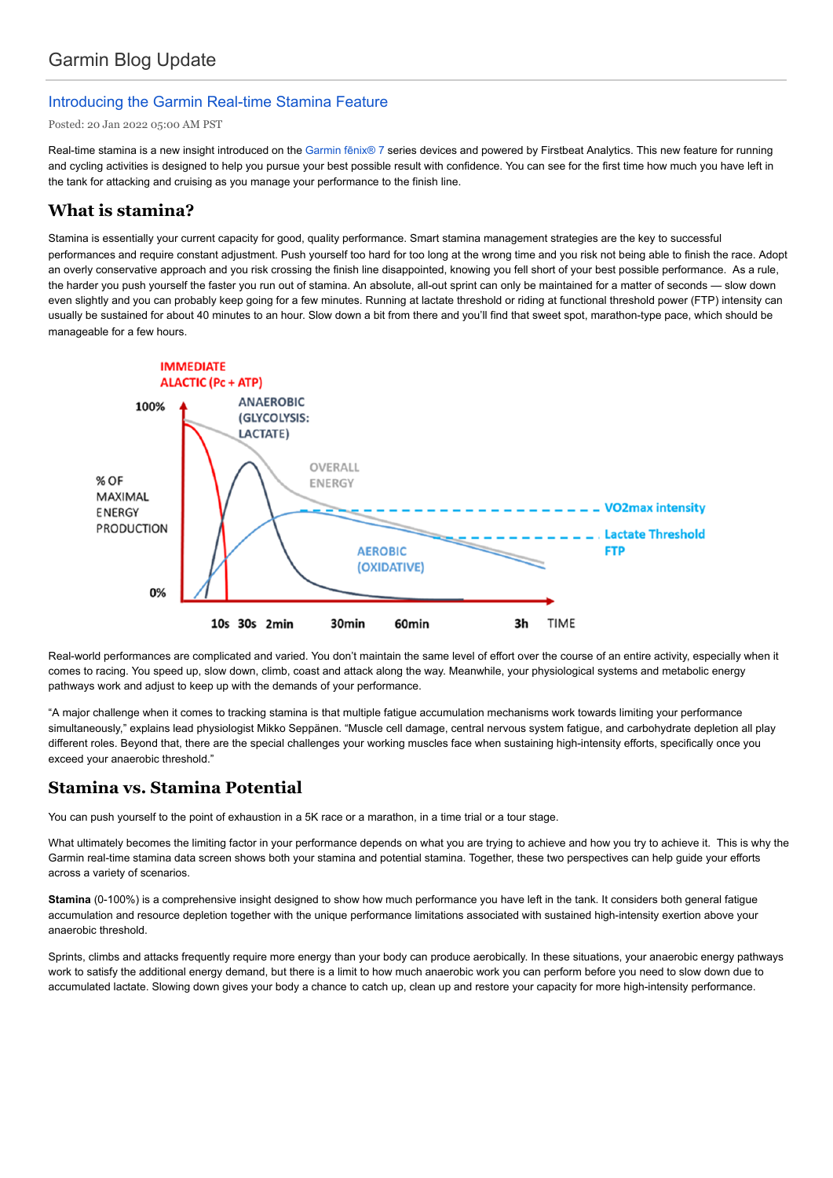## Introducing the Garmin Real-time Stamina Feature

Posted: 20 Jan 2022 05:00 AM PST

Real-time stamina is a new insight introduced on the Garmin fēnix® 7 series devices and powered by Firstbeat Analytics. This new feature for running and cycling activities is designed to help you pursue your best possible result with confidence. You can see for the first time how much you have left in the tank for attacking and cruising as you manage your performance to the finish line.

## **What is stamina?**

Stamina is essentially your current capacity for good, quality performance. Smart stamina management strategies are the key to successful performances and require constant adjustment. Push yourself too hard for too long at the wrong time and you risk not being able to finish the race. Adopt an overly conservative approach and you risk crossing the finish line disappointed, knowing you fell short of your best possible performance. As a rule, the harder you push yourself the faster you run out of stamina. An absolute, all-out sprint can only be maintained for a matter of seconds — slow down even slightly and you can probably keep going for a few minutes. Running at lactate threshold or riding at functional threshold power (FTP) intensity can usually be sustained for about 40 minutes to an hour. Slow down a bit from there and you'll find that sweet spot, marathon-type pace, which should be manageable for a few hours.



Real-world performances are complicated and varied. You don't maintain the same level of effort over the course of an entire activity, especially when it comes to racing. You speed up, slow down, climb, coast and attack along the way. Meanwhile, your physiological systems and metabolic energy pathways work and adjust to keep up with the demands of your performance.

"A major challenge when it comes to tracking stamina is that multiple fatigue accumulation mechanisms work towards limiting your performance simultaneously," explains lead physiologist Mikko Seppänen. "Muscle cell damage, central nervous system fatigue, and carbohydrate depletion all play different roles. Beyond that, there are the special challenges your working muscles face when sustaining high-intensity efforts, specifically once you exceed your anaerobic threshold."

# **Stamina vs. Stamina Potential**

You can push yourself to the point of exhaustion in a 5K race or a marathon, in a time trial or a tour stage.

What ultimately becomes the limiting factor in your performance depends on what you are trying to achieve and how you try to achieve it. This is why the Garmin real-time stamina data screen shows both your stamina and potential stamina. Together, these two perspectives can help guide your efforts across a variety of scenarios.

**Stamina** (0-100%) is a comprehensive insight designed to show how much performance you have left in the tank. It considers both general fatigue accumulation and resource depletion together with the unique performance limitations associated with sustained high-intensity exertion above your anaerobic threshold.

Sprints, climbs and attacks frequently require more energy than your body can produce aerobically. In these situations, your anaerobic energy pathways work to satisfy the additional energy demand, but there is a limit to how much anaerobic work you can perform before you need to slow down due to accumulated lactate. Slowing down gives your body a chance to catch up, clean up and restore your capacity for more high-intensity performance.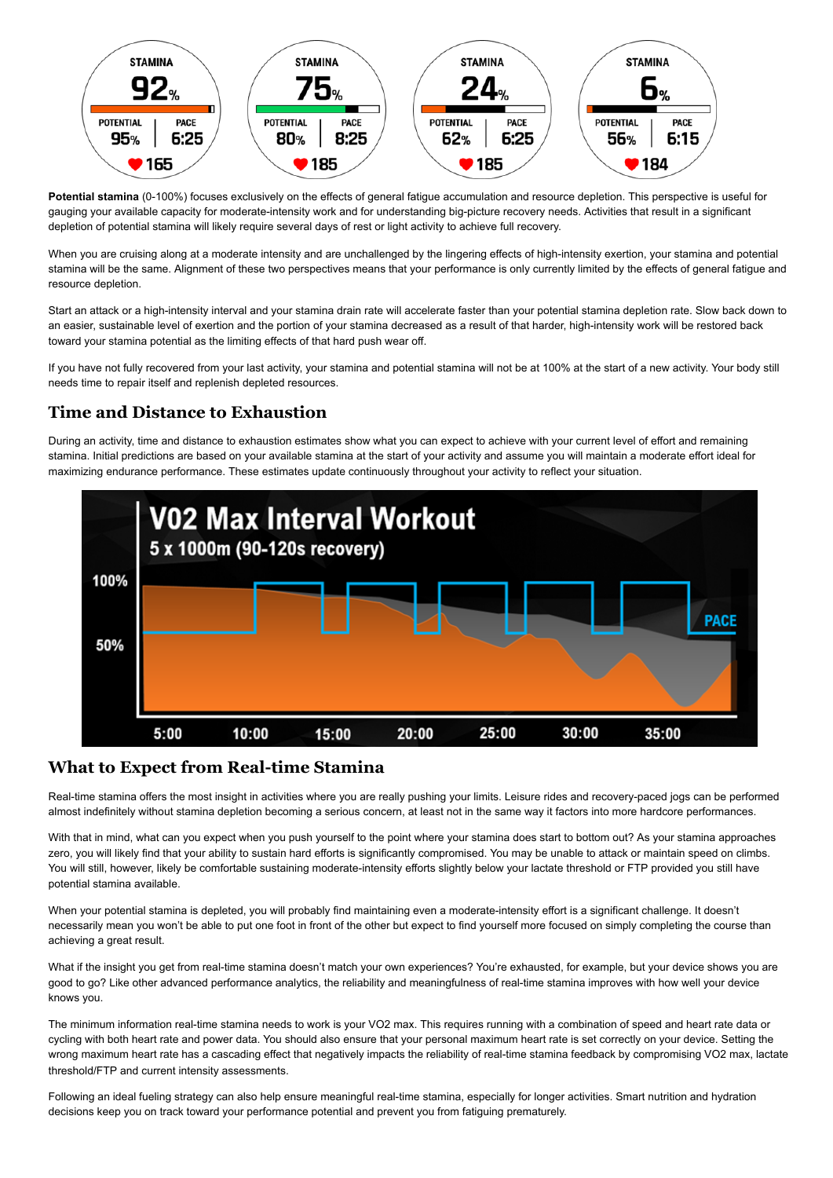

**Potential stamina** (0-100%) focuses exclusively on the effects of general fatigue accumulation and resource depletion. This perspective is useful for gauging your available capacity for moderate-intensity work and for understanding big-picture recovery needs. Activities that result in a significant depletion of potential stamina will likely require several days of rest or light activity to achieve full recovery.

When you are cruising along at a moderate intensity and are unchallenged by the lingering effects of high-intensity exertion, your stamina and potential stamina will be the same. Alignment of these two perspectives means that your performance is only currently limited by the effects of general fatigue and resource depletion.

Start an attack or a high-intensity interval and your stamina drain rate will accelerate faster than your potential stamina depletion rate. Slow back down to an easier, sustainable level of exertion and the portion of your stamina decreased as a result of that harder, high-intensity work will be restored back toward your stamina potential as the limiting effects of that hard push wear off.

If you have not fully recovered from your last activity, your stamina and potential stamina will not be at 100% at the start of a new activity. Your body still needs time to repair itself and replenish depleted resources.

## **Time and Distance to Exhaustion**

During an activity, time and distance to exhaustion estimates show what you can expect to achieve with your current level of effort and remaining stamina. Initial predictions are based on your available stamina at the start of your activity and assume you will maintain a moderate effort ideal for maximizing endurance performance. These estimates update continuously throughout your activity to reflect your situation.



#### **What to Expect from Real-time Stamina**

Real-time stamina offers the most insight in activities where you are really pushing your limits. Leisure rides and recovery-paced jogs can be performed almost indefinitely without stamina depletion becoming a serious concern, at least not in the same way it factors into more hardcore performances.

With that in mind, what can you expect when you push yourself to the point where your stamina does start to bottom out? As your stamina approaches zero, you will likely find that your ability to sustain hard efforts is significantly compromised. You may be unable to attack or maintain speed on climbs. You will still, however, likely be comfortable sustaining moderate-intensity efforts slightly below your lactate threshold or FTP provided you still have potential stamina available.

When your potential stamina is depleted, you will probably find maintaining even a moderate-intensity effort is a significant challenge. It doesn't necessarily mean you won't be able to put one foot in front of the other but expect to find yourself more focused on simply completing the course than achieving a great result.

What if the insight you get from real-time stamina doesn't match your own experiences? You're exhausted, for example, but your device shows you are good to go? Like other advanced performance analytics, the reliability and meaningfulness of real-time stamina improves with how well your device knows you.

The minimum information real-time stamina needs to work is your VO2 max. This requires running with a combination of speed and heart rate data or cycling with both heart rate and power data. You should also ensure that your personal maximum heart rate is set correctly on your device. Setting the wrong maximum heart rate has a cascading effect that negatively impacts the reliability of real-time stamina feedback by compromising VO2 max, lactate threshold/FTP and current intensity assessments.

Following an ideal fueling strategy can also help ensure meaningful real-time stamina, especially for longer activities. Smart nutrition and hydration decisions keep you on track toward your performance potential and prevent you from fatiguing prematurely.